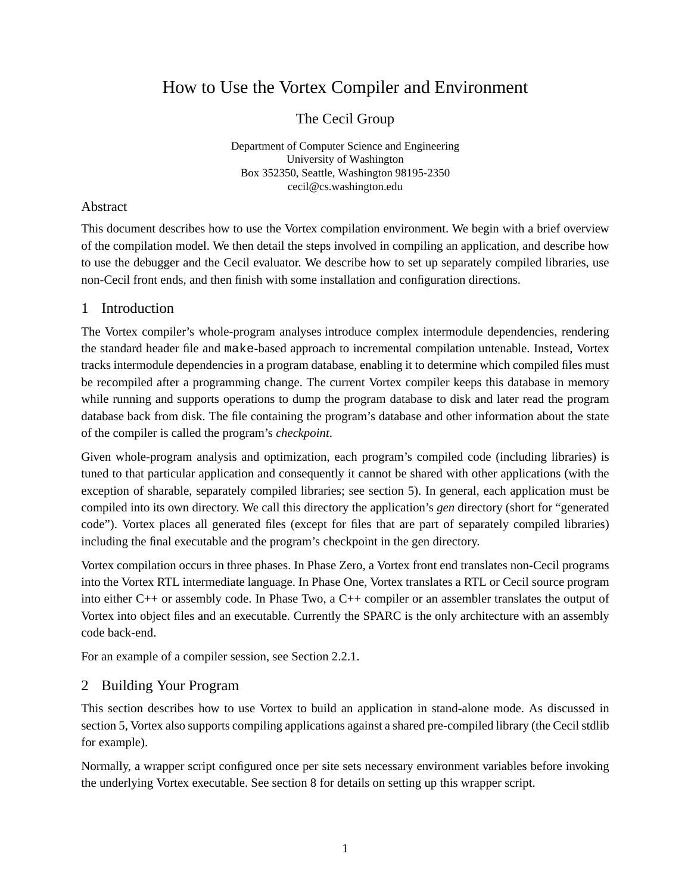# How to Use the Vortex Compiler and Environment

The Cecil Group

Department of Computer Science and Engineering University of Washington Box 352350, Seattle, Washington 98195-2350 cecil@cs.washington.edu

#### Abstract

This document describes how to use the Vortex compilation environment. We begin with a brief overview of the compilation model. We then detail the steps involved in compiling an application, and describe how to use the debugger and the Cecil evaluator. We describe how to set up separately compiled libraries, use non-Cecil front ends, and then finish with some installation and configuration directions.

## 1 Introduction

The Vortex compiler's whole-program analyses introduce complex intermodule dependencies, rendering the standard header file and make-based approach to incremental compilation untenable. Instead, Vortex tracks intermodule dependencies in a program database, enabling it to determine which compiled files must be recompiled after a programming change. The current Vortex compiler keeps this database in memory while running and supports operations to dump the program database to disk and later read the program database back from disk. The file containing the program's database and other information about the state of the compiler is called the program's *checkpoint*.

Given whole-program analysis and optimization, each program's compiled code (including libraries) is tuned to that particular application and consequently it cannot be shared with other applications (with the exception of sharable, separately compiled libraries; see section 5). In general, each application must be compiled into its own directory. We call this directory the application's *gen* directory (short for "generated code"). Vortex places all generated files (except for files that are part of separately compiled libraries) including the final executable and the program's checkpoint in the gen directory.

Vortex compilation occurs in three phases. In Phase Zero, a Vortex front end translates non-Cecil programs into the Vortex RTL intermediate language. In Phase One, Vortex translates a RTL or Cecil source program into either C++ or assembly code. In Phase Two, a C++ compiler or an assembler translates the output of Vortex into object files and an executable. Currently the SPARC is the only architecture with an assembly code back-end.

For an example of a compiler session, see Section 2.2.1.

# 2 Building Your Program

This section describes how to use Vortex to build an application in stand-alone mode. As discussed in section 5, Vortex also supports compiling applications against a shared pre-compiled library (the Cecil stdlib for example).

Normally, a wrapper script configured once per site sets necessary environment variables before invoking the underlying Vortex executable. See section 8 for details on setting up this wrapper script.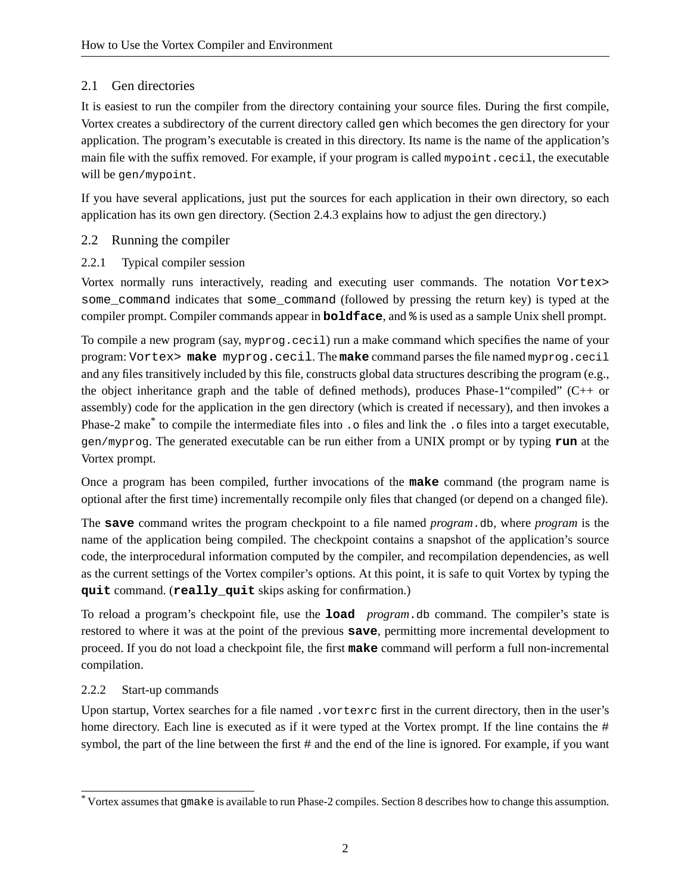# 2.1 Gen directories

It is easiest to run the compiler from the directory containing your source files. During the first compile, Vortex creates a subdirectory of the current directory called gen which becomes the gen directory for your application. The program's executable is created in this directory. Its name is the name of the application's main file with the suffix removed. For example, if your program is called mypoint.cecil, the executable will be gen/mypoint.

If you have several applications, just put the sources for each application in their own directory, so each application has its own gen directory. (Section 2.4.3 explains how to adjust the gen directory.)

#### 2.2 Running the compiler

#### 2.2.1 Typical compiler session

Vortex normally runs interactively, reading and executing user commands. The notation Vortex> some\_command indicates that some\_command (followed by pressing the return key) is typed at the compiler prompt. Compiler commands appear in **boldface**, and % is used as a sample Unix shell prompt.

To compile a new program (say, myprog.cecil) run a make command which specifies the name of your program: Vortex> **make** myprog.cecil. The **make** command parses the file named myprog.cecil and any files transitively included by this file, constructs global data structures describing the program (e.g., the object inheritance graph and the table of defined methods), produces Phase-1"compiled" (C++ or assembly) code for the application in the gen directory (which is created if necessary), and then invokes a Phase-2 make<sup>\*</sup> to compile the intermediate files into . o files and link the . o files into a target executable, gen/myprog. The generated executable can be run either from a UNIX prompt or by typing **run** at the Vortex prompt.

Once a program has been compiled, further invocations of the **make** command (the program name is optional after the first time) incrementally recompile only files that changed (or depend on a changed file).

The **save** command writes the program checkpoint to a file named *program*.db, where *program* is the name of the application being compiled. The checkpoint contains a snapshot of the application's source code, the interprocedural information computed by the compiler, and recompilation dependencies, as well as the current settings of the Vortex compiler's options. At this point, it is safe to quit Vortex by typing the **quit** command. (**really\_quit** skips asking for confirmation.)

To reload a program's checkpoint file, use the **load** *program*.db command. The compiler's state is restored to where it was at the point of the previous **save**, permitting more incremental development to proceed. If you do not load a checkpoint file, the first **make** command will perform a full non-incremental compilation.

#### 2.2.2 Start-up commands

Upon startup, Vortex searches for a file named .vortexrc first in the current directory, then in the user's home directory. Each line is executed as if it were typed at the Vortex prompt. If the line contains the # symbol, the part of the line between the first # and the end of the line is ignored. For example, if you want

<sup>\*</sup> Vortex assumes that gmake is available to runPhase-2 compiles.Section 8 describes how to change this assumption.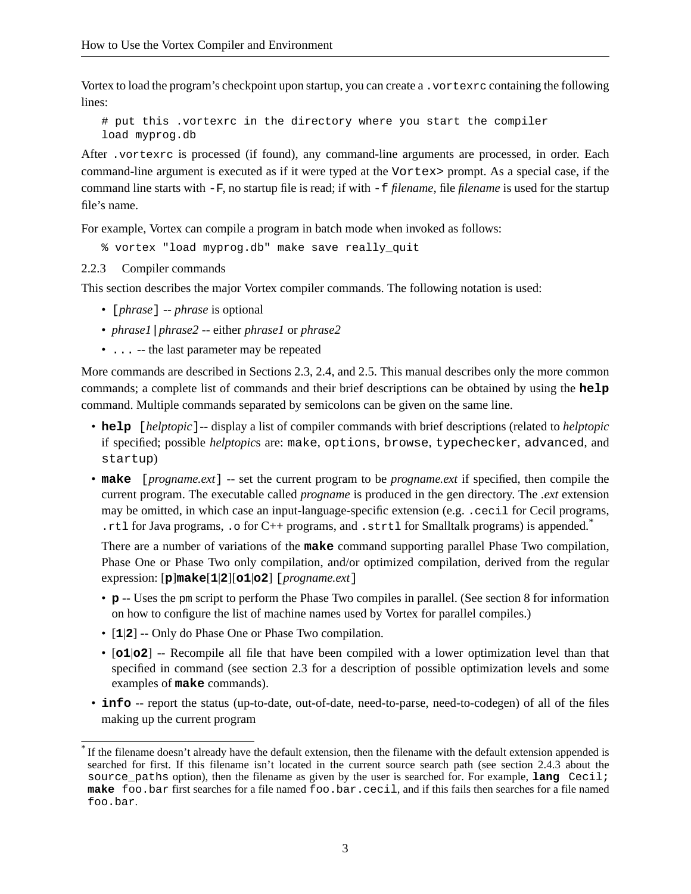Vortex to load the program's checkpoint upon startup, you can create a . vortexrc containing the following lines:

# put this .vortexrc in the directory where you start the compiler load myprog.db

After .vortexrc is processed (if found), any command-line arguments are processed, in order. Each command-line argument is executed as if it were typed at the Vortex> prompt. As a special case, if the command line starts with -F, no startup file is read; if with -f *filename*, file *filename* is used for the startup file's name.

For example, Vortex can compile a program in batch mode when invoked as follows:

% vortex "load myprog.db" make save really\_quit

2.2.3 Compiler commands

This section describes the major Vortex compiler commands. The following notation is used:

- [*phrase*] -- *phrase* is optional
- *phrase1*|*phrase2* -- either *phrase1* or *phrase2*
- ... -- the last parameter may be repeated

More commands are described in Sections 2.3, 2.4, and 2.5. This manual describes only the more common commands; a complete list of commands and their brief descriptions can be obtained by using the **help** command. Multiple commands separated by semicolons can be given on the same line.

- **help** [*helptopic*]-- display a list of compiler commands with brief descriptions (related to *helptopic* if specified; possible *helptopic*s are: make, options, browse, typechecker, advanced, and startup)
- **make** [*progname.ext*] -- set the current program to be *progname.ext* if specified, then compile the current program. The executable called *progname* is produced in the gen directory. The *.ext* extension may be omitted, in which case an input-language-specific extension (e.g. .cecil for Cecil programs, .rtl for Java programs, .o for C++ programs, and .strtl for Smalltalk programs) is appended.\*

There are a number of variations of the **make** command supporting parallel Phase Two compilation, Phase One or Phase Two only compilation, and/or optimized compilation, derived from the regular expression: [**p**]**make**[**1**|**2**][**o1**|**o2**] [*progname.ext*]

- **p** -- Uses the pm script to perform the Phase Two compiles in parallel. (See section 8 for information on how to configure the list of machine names used by Vortex for parallel compiles.)
- [**1**|**2**] -- Only do Phase One or Phase Two compilation.
- [**o1**|**o2**] -- Recompile all file that have been compiled with a lower optimization level than that specified in command (see section 2.3 for a description of possible optimization levels and some examples of **make** commands).
- **info** -- report the status (up-to-date, out-of-date, need-to-parse, need-to-codegen) of all of the files making up the current program

<sup>\*</sup> If the filename doesn't already have the default extension, then the filename with the default extension appended is searched for first. If this filename isn't located in the current source search path (see section 2.4.3 about the source\_paths option), then the filename as given by the user is searched for. For example, **lang** Cecil; **make** foo.bar first searches for a file named foo.bar.cecil, and if this fails then searches for a file named foo.bar.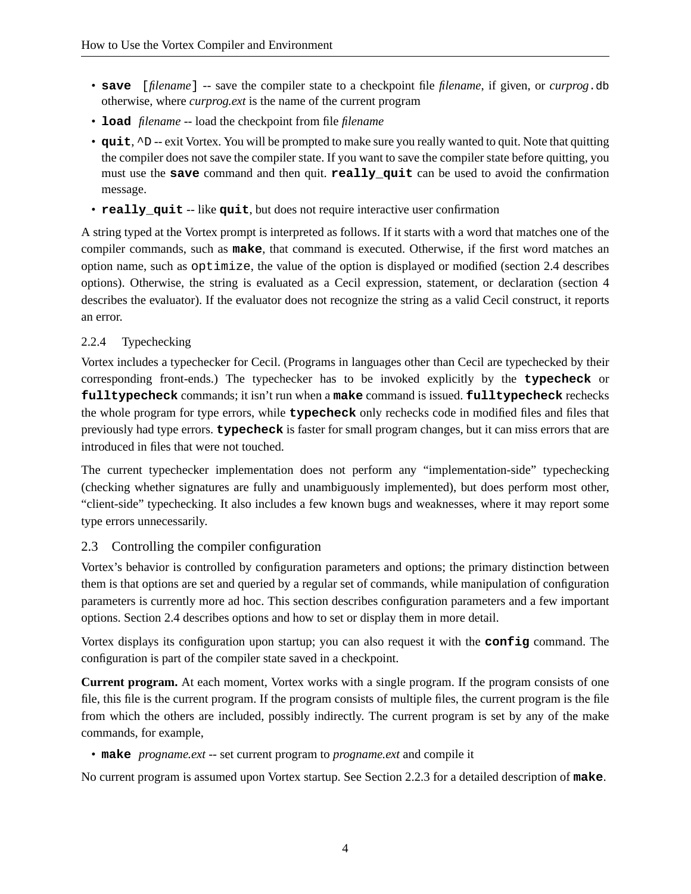- **save** [*filename*] -- save the compiler state to a checkpoint file *filename*, if given, or *curprog*.db otherwise, where *curprog.ext* is the name of the current program
- **load** *filename* -- load the checkpoint from file *filename*
- **quit**, ^D -- exit Vortex. You will be prompted to make sure you really wanted to quit. Note that quitting the compiler does not save the compiler state. If you want to save the compiler state before quitting, you must use the **save** command and then quit. **really\_quit** can be used to avoid the confirmation message.
- **really\_quit** -- like **quit**, but does not require interactive user confirmation

A string typed at the Vortex prompt is interpreted as follows. If it starts with a word that matches one of the compiler commands, such as **make**, that command is executed. Otherwise, if the first word matches an option name, such as optimize, the value of the option is displayed or modified (section 2.4 describes options). Otherwise, the string is evaluated as a Cecil expression, statement, or declaration (section 4 describes the evaluator). If the evaluator does not recognize the string as a valid Cecil construct, it reports an error.

#### 2.2.4 Typechecking

Vortex includes a typechecker for Cecil. (Programs in languages other than Cecil are typechecked by their corresponding front-ends.) The typechecker has to be invoked explicitly by the **typecheck** or **fulltypecheck** commands; it isn't run when a **make** command is issued. **fulltypecheck** rechecks the whole program for type errors, while **typecheck** only rechecks code in modified files and files that previously had type errors. **typecheck** is faster for small program changes, but it can miss errors that are introduced in files that were not touched.

The current typechecker implementation does not perform any "implementation-side" typechecking (checking whether signatures are fully and unambiguously implemented), but does perform most other, "client-side" typechecking. It also includes a few known bugs and weaknesses, where it may report some type errors unnecessarily.

# 2.3 Controlling the compiler configuration

Vortex's behavior is controlled by configuration parameters and options; the primary distinction between them is that options are set and queried by a regular set of commands, while manipulation of configuration parameters is currently more ad hoc. This section describes configuration parameters and a few important options. Section 2.4 describes options and how to set or display them in more detail.

Vortex displays its configuration upon startup; you can also request it with the **config** command. The configuration is part of the compiler state saved in a checkpoint.

**Current program.** At each moment, Vortex works with a single program. If the program consists of one file, this file is the current program. If the program consists of multiple files, the current program is the file from which the others are included, possibly indirectly. The current program is set by any of the make commands, for example,

• **make** *progname.ext* -- set current program to *progname.ext* and compile it

No current program is assumed upon Vortex startup. See Section 2.2.3 for a detailed description of **make**.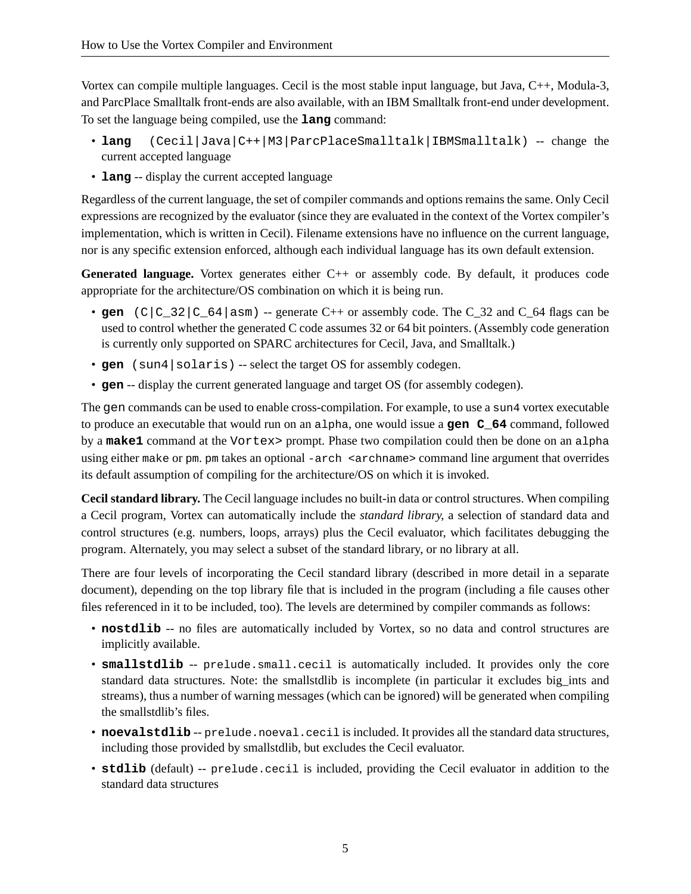Vortex can compile multiple languages. Cecil is the most stable input language, but Java, C++, Modula-3, and ParcPlace Smalltalk front-ends are also available, with an IBM Smalltalk front-end under development. To set the language being compiled, use the **lang** command:

- lang (Cecil|Java|C++|M3|ParcPlaceSmalltalk|IBMSmalltalk) -- change the current accepted language
- **lang** -- display the current accepted language

Regardless of the current language, the set of compiler commands and options remains the same. Only Cecil expressions are recognized by the evaluator (since they are evaluated in the context of the Vortex compiler's implementation, which is written in Cecil). Filename extensions have no influence on the current language, nor is any specific extension enforced, although each individual language has its own default extension.

**Generated language.** Vortex generates either C++ or assembly code. By default, it produces code appropriate for the architecture/OS combination on which it is being run.

- gen  $|C|C$  32  $|C$  64 asm) -- generate C++ or assembly code. The C 32 and C 64 flags can be used to control whether the generated C code assumes 32 or 64 bit pointers. (Assembly code generation is currently only supported on SPARC architectures for Cecil, Java, and Smalltalk.)
- gen (sun4 | solaris) -- select the target OS for assembly codegen.
- **gen** -- display the current generated language and target OS (for assembly codegen).

The gen commands can be used to enable cross-compilation. For example, to use a sun4 vortex executable to produce an executable that would run on an alpha, one would issue a **gen C\_64** command, followed by a **make1** command at the Vortex> prompt. Phase two compilation could then be done on an alpha using either make or pm. pm takes an optional -arch <archname> command line argument that overrides its default assumption of compiling for the architecture/OS on which it is invoked.

**Cecil standard library.** The Cecil language includes no built-in data or control structures. When compiling a Cecil program, Vortex can automatically include the *standard library*, a selection of standard data and control structures (e.g. numbers, loops, arrays) plus the Cecil evaluator, which facilitates debugging the program. Alternately, you may select a subset of the standard library, or no library at all.

There are four levels of incorporating the Cecil standard library (described in more detail in a separate document), depending on the top library file that is included in the program (including a file causes other files referenced in it to be included, too). The levels are determined by compiler commands as follows:

- **nostdlib** -- no files are automatically included by Vortex, so no data and control structures are implicitly available.
- **smallstdlib** -- prelude.small.cecil is automatically included. It provides only the core standard data structures. Note: the smallstdlib is incomplete (in particular it excludes big\_ints and streams), thus a number of warning messages (which can be ignored) will be generated when compiling the smallstdlib's files.
- **noevalstdlib** -- prelude.noeval.cecil is included. It provides all the standard data structures, including those provided by smallstdlib, but excludes the Cecil evaluator.
- **stdlib** (default) -- prelude.cecil is included, providing the Cecil evaluator in addition to the standard data structures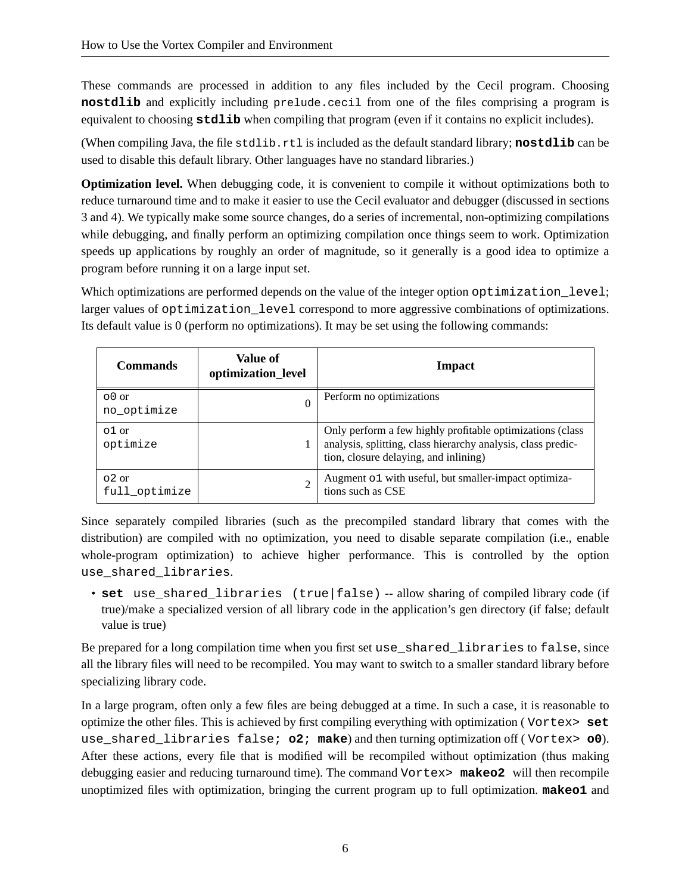These commands are processed in addition to any files included by the Cecil program. Choosing **nostdlib** and explicitly including prelude.cecil from one of the files comprising a program is equivalent to choosing **stdlib** when compiling that program (even if it contains no explicit includes).

(When compiling Java, the file stdlib.rtl is included as the default standard library; **nostdlib** can be used to disable this default library. Other languages have no standard libraries.)

**Optimization level.** When debugging code, it is convenient to compile it without optimizations both to reduce turnaround time and to make it easier to use the Cecil evaluator and debugger (discussed in sections 3 and 4). We typically make some source changes, do a series of incremental, non-optimizing compilations while debugging, and finally perform an optimizing compilation once things seem to work. Optimization speeds up applications by roughly an order of magnitude, so it generally is a good idea to optimize a program before running it on a large input set.

Which optimizations are performed depends on the value of the integer option optimization\_level; larger values of optimization level correspond to more aggressive combinations of optimizations. Its default value is 0 (perform no optimizations). It may be set using the following commands:

| <b>Commands</b>             | <b>Value of</b><br>optimization_level | Impact                                                                                                                                                             |
|-----------------------------|---------------------------------------|--------------------------------------------------------------------------------------------------------------------------------------------------------------------|
| $\circ$ 0 or<br>no_optimize |                                       | Perform no optimizations                                                                                                                                           |
| $01$ or<br>optimize         |                                       | Only perform a few highly profitable optimizations (class<br>analysis, splitting, class hierarchy analysis, class predic-<br>tion, closure delaying, and inlining) |
| $02$ or<br>full_optimize    |                                       | Augment o1 with useful, but smaller-impact optimiza-<br>tions such as CSE                                                                                          |

Since separately compiled libraries (such as the precompiled standard library that comes with the distribution) are compiled with no optimization, you need to disable separate compilation (i.e., enable whole-program optimization) to achieve higher performance. This is controlled by the option use shared libraries.

• set use shared libraries (true|false) -- allow sharing of compiled library code (if true)/make a specialized version of all library code in the application's gen directory (if false; default value is true)

Be prepared for a long compilation time when you first set use\_shared\_libraries to false, since all the library files will need to be recompiled. You may want to switch to a smaller standard library before specializing library code.

In a large program, often only a few files are being debugged at a time. In such a case, it is reasonable to optimize the other files. This is achieved by first compiling everything with optimization ( Vortex> **set** use\_shared\_libraries false; **o2**; **make**) and then turning optimization off ( Vortex> **o0**). After these actions, every file that is modified will be recompiled without optimization (thus making debugging easier and reducing turnaround time). The command Vortex> **makeo2** will then recompile unoptimized files with optimization, bringing the current program up to full optimization. **makeo1** and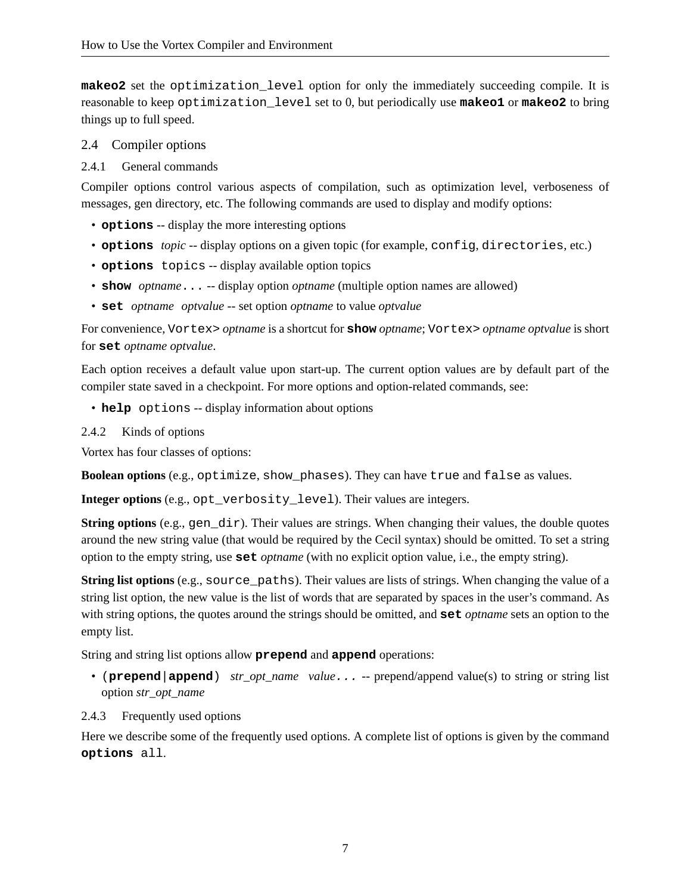**makeo2** set the optimization level option for only the immediately succeeding compile. It is reasonable to keep optimization\_level set to 0, but periodically use **makeo1** or **makeo2** to bring things up to full speed.

#### 2.4 Compiler options

#### 2.4.1 General commands

Compiler options control various aspects of compilation, such as optimization level, verboseness of messages, gen directory, etc. The following commands are used to display and modify options:

- **options** -- display the more interesting options
- **options** *topic* -- display options on a given topic (for example, config, directories, etc.)
- **options** topics -- display available option topics
- **show** *optname*... -- display option *optname* (multiple option names are allowed)
- **set** *optname optvalue* -- set option *optname* to value *optvalue*

For convenience, Vortex> *optname* is a shortcut for **show** *optname*; Vortex> *optname optvalue* is short for **set** *optname optvalue*.

Each option receives a default value upon start-up. The current option values are by default part of the compiler state saved in a checkpoint. For more options and option-related commands, see:

• **help** options -- display information about options

## 2.4.2 Kinds of options

Vortex has four classes of options:

**Boolean options** (e.g., optimize, show\_phases). They can have true and false as values.

**Integer options** (e.g., opt\_verbosity\_level). Their values are integers.

**String options** (e.g., gen\_dir). Their values are strings. When changing their values, the double quotes around the new string value (that would be required by the Cecil syntax) should be omitted. To set a string option to the empty string, use **set** *optname* (with no explicit option value, i.e., the empty string).

**String list options** (e.g., source\_paths). Their values are lists of strings. When changing the value of a string list option, the new value is the list of words that are separated by spaces in the user's command. As with string options, the quotes around the strings should be omitted, and **set** *optname* sets an option to the empty list.

String and string list options allow **prepend** and **append** operations:

- (**prepend**|**append**) *str\_opt\_name value*... -- prepend/append value(s) to string or string list option *str\_opt\_name*
- 2.4.3 Frequently used options

Here we describe some of the frequently used options. A complete list of options is given by the command **options** all.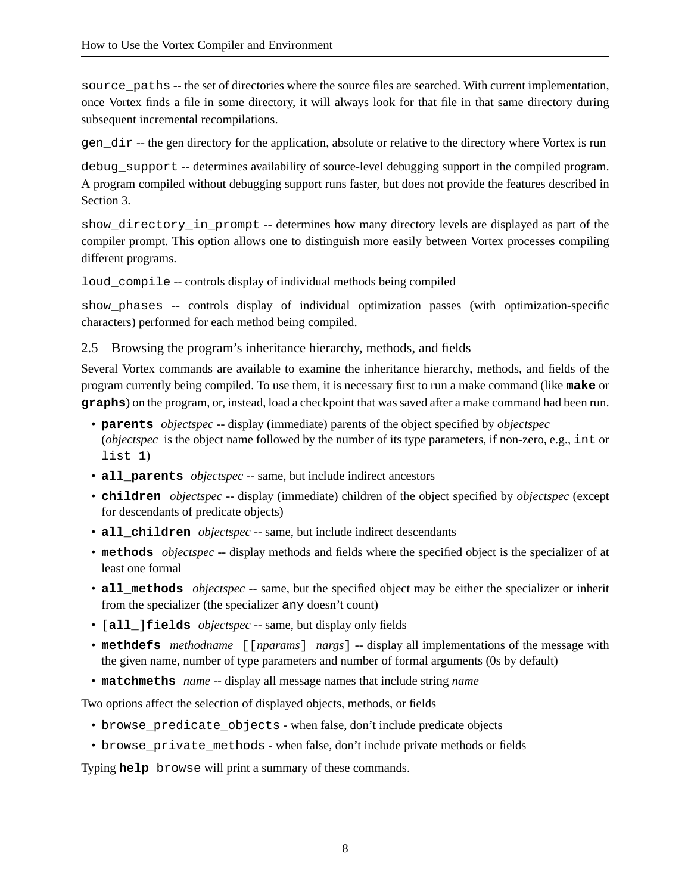source paths -- the set of directories where the source files are searched. With current implementation, once Vortex finds a file in some directory, it will always look for that file in that same directory during subsequent incremental recompilations.

gen\_dir -- the gen directory for the application, absolute or relative to the directory where Vortex is run

debug\_support -- determines availability of source-level debugging support in the compiled program. A program compiled without debugging support runs faster, but does not provide the features described in Section 3.

show directory in prompt -- determines how many directory levels are displayed as part of the compiler prompt. This option allows one to distinguish more easily between Vortex processes compiling different programs.

loud\_compile -- controls display of individual methods being compiled

show\_phases -- controls display of individual optimization passes (with optimization-specific characters) performed for each method being compiled.

#### 2.5 Browsing the program's inheritance hierarchy, methods, and fields

Several Vortex commands are available to examine the inheritance hierarchy, methods, and fields of the program currently being compiled. To use them, it is necessary first to run a make command (like **make** or **graphs**) on the program, or, instead, load a checkpoint that was saved after a make command had been run.

- **parents** *objectspec* -- display (immediate) parents of the object specified by *objectspec* (*objectspec* is the object name followed by the number of its type parameters, if non-zero, e.g., int or list 1)
- **all\_parents** *objectspec* -- same, but include indirect ancestors
- **children** *objectspec* -- display (immediate) children of the object specified by *objectspec* (except for descendants of predicate objects)
- **all\_children** *objectspec* -- same, but include indirect descendants
- **methods** *objectspec* -- display methods and fields where the specified object is the specializer of at least one formal
- **all\_methods** *objectspec* -- same, but the specified object may be either the specializer or inherit from the specializer (the specializer any doesn't count)
- [**all\_**]**fields** *objectspec* -- same, but display only fields
- **methdefs** *methodname* [[*nparams*] *nargs*] -- display all implementations of the message with the given name, number of type parameters and number of formal arguments (0s by default)
- **matchmeths** *name* -- display all message names that include string *name*

Two options affect the selection of displayed objects, methods, or fields

- browse\_predicate\_objects when false, don't include predicate objects
- browse\_private\_methods when false, don't include private methods or fields

Typing **help** browse will print a summary of these commands.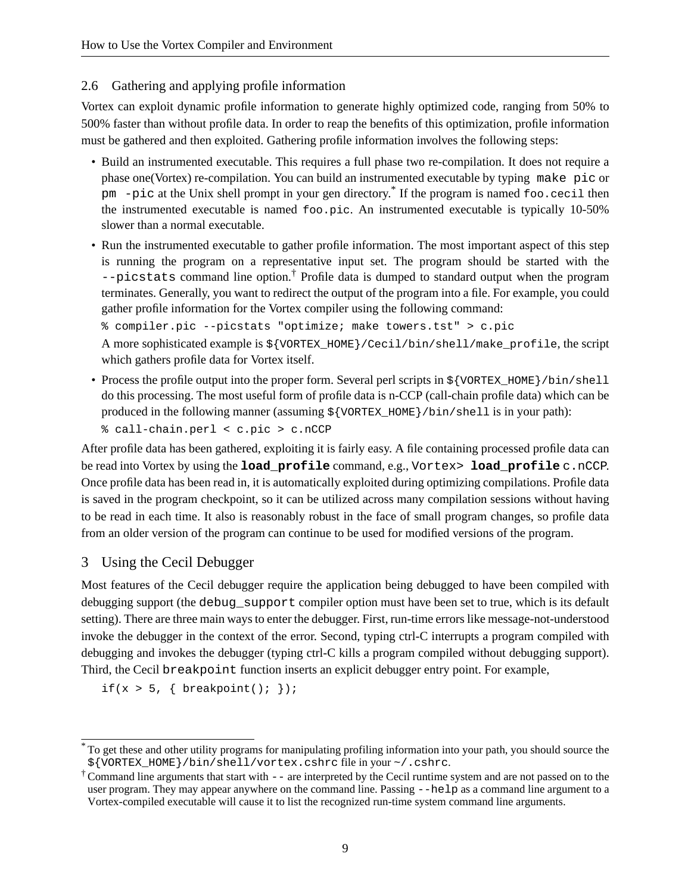# 2.6 Gathering and applying profile information

Vortex can exploit dynamic profile information to generate highly optimized code, ranging from 50% to 500% faster than without profile data. In order to reap the benefits of this optimization, profile information must be gathered and then exploited. Gathering profile information involves the following steps:

- Build an instrumented executable. This requires a full phase two re-compilation. It does not require a phase one(Vortex) re-compilation. You can build an instrumented executable by typing make pic or pm -pic at the Unix shell prompt in your gen directory. \* If the program is named foo.cecil then the instrumented executable is named foo.pic. An instrumented executable is typically 10-50% slower than a normal executable.
- Run the instrumented executable to gather profile information. The most important aspect of this step is running the program on a representative input set. The program should be started with the  $-\text{picstats}$  command line option.<sup>†</sup> Profile data is dumped to standard output when the program terminates. Generally, you want to redirect the output of the program into a file. For example, you could gather profile information for the Vortex compiler using the following command:

```
% compiler.pic --picstats "optimize; make towers.tst" > c.pic
```
A more sophisticated example is  $\frac{1}{\sqrt{C\text{C}}}\times \frac{1}{\sqrt{C\text{C}}}\times \frac{1}{\sqrt{C\text{C}}}$  hell/make profile, the script which gathers profile data for Vortex itself.

- Process the profile output into the proper form. Several perl scripts in  $\frac{1}{\sqrt{N}}$  /  $\frac{1}{N}$  /  $\frac{1}{N}$  /  $\frac{1}{N}$  /  $\frac{1}{N}$ do this processing. The most useful form of profile data is n-CCP (call-chain profile data) which can be produced in the following manner (assuming \${VORTEX\_HOME}/bin/shell is in your path):
	- % call-chain.perl < c.pic > c.nCCP

After profile data has been gathered, exploiting it is fairly easy. A file containing processed profile data can be read into Vortex by using the **load\_profile** command, e.g., Vortex> **load\_profile** c.nCCP. Once profile data has been read in, it is automatically exploited during optimizing compilations. Profile data is saved in the program checkpoint, so it can be utilized across many compilation sessions without having to be read in each time. It also is reasonably robust in the face of small program changes, so profile data from an older version of the program can continue to be used for modified versions of the program.

# 3 Using the Cecil Debugger

Most features of the Cecil debugger require the application being debugged to have been compiled with debugging support (the debug\_support compiler option must have been set to true, which is its default setting). There are three main waysto enter the debugger. First, run-time errorslike message-not-understood invoke the debugger in the context of the error. Second, typing ctrl-C interrupts a program compiled with debugging and invokes the debugger (typing ctrl-C kills a program compiled without debugging support). Third, the Cecil breakpoint function inserts an explicit debugger entry point. For example,

if(x > 5, { breakpoint(); });

<sup>\*</sup> To get these and other utility programs for manipulating profiling information into your path, you should source the \${VORTEX\_HOME}/bin/shell/vortex.cshrc file in your ~/.cshrc.

 $\dagger$  Command line arguments that start with  $-$  are interpreted by the Cecil runtime system and are not passed on to the user program. They may appear anywhere on the command line. Passing --help as a command line argument to a Vortex-compiled executable will cause it to list the recognized run-time system command line arguments.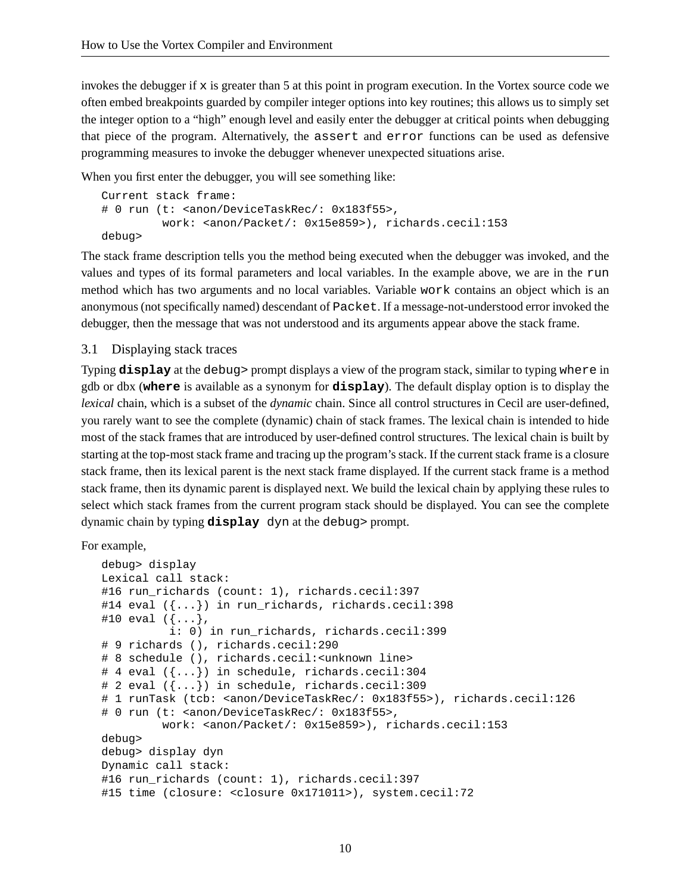invokes the debugger if  $x$  is greater than 5 at this point in program execution. In the Vortex source code we often embed breakpoints guarded by compiler integer options into key routines; this allows us to simply set the integer option to a "high" enough level and easily enter the debugger at critical points when debugging that piece of the program. Alternatively, the assert and error functions can be used as defensive programming measures to invoke the debugger whenever unexpected situations arise.

When you first enter the debugger, you will see something like:

```
Current stack frame:
# 0 run (t: <anon/DeviceTaskRec/: 0x183f55>,
          work: <anon/Packet/: 0x15e859>), richards.cecil:153
debug>
```
The stack frame description tells you the method being executed when the debugger was invoked, and the values and types of its formal parameters and local variables. In the example above, we are in the run method which has two arguments and no local variables. Variable work contains an object which is an anonymous (not specifically named) descendant of Packet. If a message-not-understood error invoked the debugger, then the message that was not understood and its arguments appear above the stack frame.

#### 3.1 Displaying stack traces

Typing **display** at the debug> prompt displays a view of the program stack, similar to typing where in gdb or dbx (**where** is available as a synonym for **display**). The default display option is to display the *lexical* chain, which is a subset of the *dynamic* chain. Since all control structures in Cecil are user-defined, you rarely want to see the complete (dynamic) chain of stack frames. The lexical chain is intended to hide most of the stack frames that are introduced by user-defined control structures. The lexical chain is built by starting at the top-most stack frame and tracing up the program's stack. If the current stack frame is a closure stack frame, then its lexical parent is the next stack frame displayed. If the current stack frame is a method stack frame, then its dynamic parent is displayed next. We build the lexical chain by applying these rules to select which stack frames from the current program stack should be displayed. You can see the complete dynamic chain by typing **display** dyn at the debug> prompt.

For example,

```
debug> display
Lexical call stack:
#16 run richards (count: 1), richards.cecil:397
#14 eval ({...}) in run_richards, richards.cecil:398
#10 eval ({...},i: 0) in run richards, richards.cecil:399
# 9 richards (), richards.cecil:290
# 8 schedule (), richards.cecil:<unknown line>
# 4 eval ({...}) in schedule, richards.cecil:304
# 2 eval ({...}) in schedule, richards.cecil:309
# 1 runTask (tcb: <anon/DeviceTaskRec/: 0x183f55>), richards.cecil:126
# 0 run (t: <anon/DeviceTaskRec/: 0x183f55>,
         work: <anon/Packet/: 0x15e859>), richards.cecil:153
debug>
debug> display dyn
Dynamic call stack:
#16 run_richards (count: 1), richards.cecil:397
#15 time (closure: <closure 0x171011>), system.cecil:72
```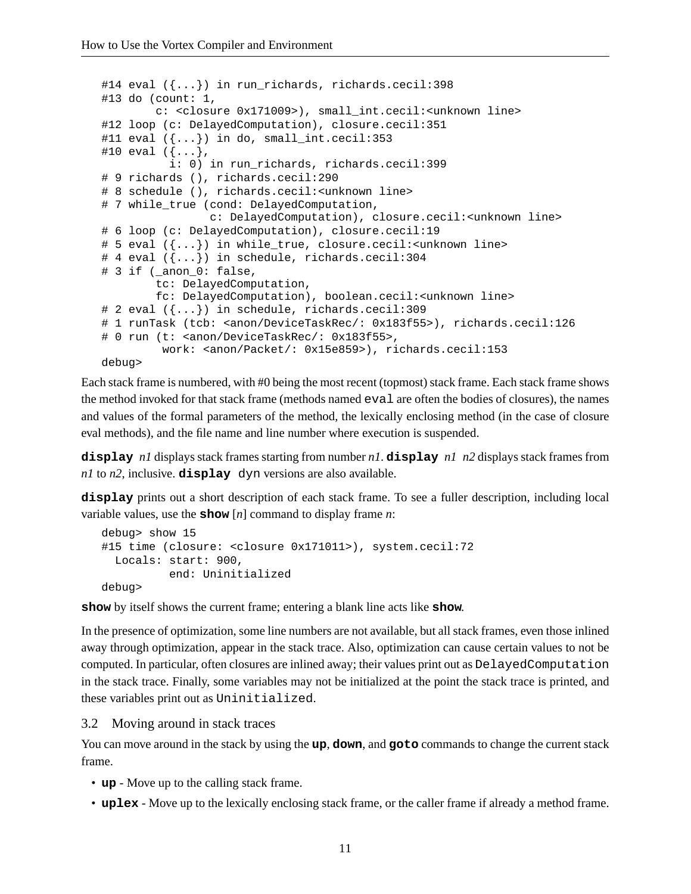```
#14 eval ({...}) in run_richards, richards.cecil:398
#13 do (count: 1,
        c: <closure 0x171009>), small_int.cecil:<unknown line>
#12 loop (c: DelayedComputation), closure.cecil:351
#11 eval ({...}) in do, small_int.cecil:353
#10 eval ({...},i: 0) in run richards, richards.cecil:399
# 9 richards (), richards.cecil:290
# 8 schedule (), richards.cecil:<unknown line>
# 7 while_true (cond: DelayedComputation,
                c: DelayedComputation), closure.cecil:<unknown line>
# 6 loop (c: DelayedComputation), closure.cecil:19
# 5 eval ({...}) in while_true, closure.cecil:<unknown line>
# 4 eval ({...}) in schedule, richards.cecil:304
# 3 if (_anon_0: false,
        tc: DelayedComputation,
        fc: DelayedComputation), boolean.cecil:<unknown line>
# 2 eval ({...}) in schedule, richards.cecil:309
# 1 runTask (tcb: <anon/DeviceTaskRec/: 0x183f55>), richards.cecil:126
# 0 run (t: <anon/DeviceTaskRec/: 0x183f55>,
         work: <anon/Packet/: 0x15e859>), richards.cecil:153
debug>
```
Each stack frame is numbered, with #0 being the most recent (topmost) stack frame. Each stack frame shows the method invoked for that stack frame (methods named eval are often the bodies of closures), the names and values of the formal parameters of the method, the lexically enclosing method (in the case of closure eval methods), and the file name and line number where execution is suspended.

**display** *n1* displays stack frames starting from number *n1*. **display** *n1 n2* displays stack frames from *n1* to *n2*, inclusive. **display** dyn versions are also available.

**display** prints out a short description of each stack frame. To see a fuller description, including local variable values, use the **show** [*n*] command to display frame *n*:

```
debug> show 15
#15 time (closure: <closure 0x171011>), system.cecil:72
  Locals: start: 900,
           end: Uninitialized
debug>
```
**show** by itself shows the current frame; entering a blank line acts like **show**.

In the presence of optimization, some line numbers are not available, but all stack frames, even those inlined away through optimization, appear in the stack trace. Also, optimization can cause certain values to not be computed. In particular, often closures are inlined away; their values print out as DelayedComputation in the stack trace. Finally, some variables may not be initialized at the point the stack trace is printed, and these variables print out as Uninitialized.

3.2 Moving around in stack traces

You can move around in the stack by using the **up**, **down**, and **goto** commands to change the current stack frame.

- **up** Move up to the calling stack frame.
- **uplex** Move up to the lexically enclosing stack frame, or the caller frame if already a method frame.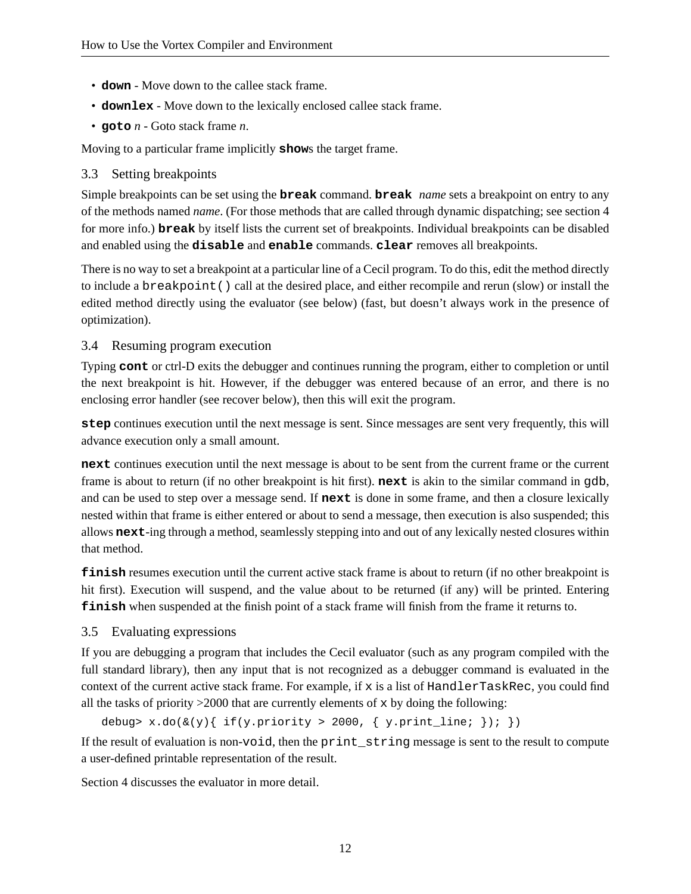- **down** Move down to the callee stack frame.
- **downlex** Move down to the lexically enclosed callee stack frame.
- **goto** *n* Goto stack frame *n*.

Moving to a particular frame implicitly **show**s the target frame.

## 3.3 Setting breakpoints

Simple breakpoints can be set using the **break** command. **break** *name* sets a breakpoint on entry to any of the methods named *name*. (For those methods that are called through dynamic dispatching; see section 4 for more info.) **break** by itself lists the current set of breakpoints. Individual breakpoints can be disabled and enabled using the **disable** and **enable** commands. **clear** removes all breakpoints.

There is no way to set a breakpoint at a particular line of a Cecil program. To do this, edit the method directly to include a breakpoint() call at the desired place, and either recompile and rerun (slow) or install the edited method directly using the evaluator (see below) (fast, but doesn't always work in the presence of optimization).

## 3.4 Resuming program execution

Typing **cont** or ctrl-D exits the debugger and continues running the program, either to completion or until the next breakpoint is hit. However, if the debugger was entered because of an error, and there is no enclosing error handler (see recover below), then this will exit the program.

**step** continues execution until the next message is sent. Since messages are sent very frequently, this will advance execution only a small amount.

**next** continues execution until the next message is about to be sent from the current frame or the current frame is about to return (if no other breakpoint is hit first). **next** is akin to the similar command in gdb, and can be used to step over a message send. If **next** is done in some frame, and then a closure lexically nested within that frame is either entered or about to send a message, then execution is also suspended; this allows **next**-ing through a method, seamlessly stepping into and out of any lexically nested closures within that method.

**finish** resumes execution until the current active stack frame is about to return (if no other breakpoint is hit first). Execution will suspend, and the value about to be returned (if any) will be printed. Entering **finish** when suspended at the finish point of a stack frame will finish from the frame it returns to.

# 3.5 Evaluating expressions

If you are debugging a program that includes the Cecil evaluator (such as any program compiled with the full standard library), then any input that is not recognized as a debugger command is evaluated in the context of the current active stack frame. For example, if  $x$  is a list of  $H$ andlerTaskRec, you could find all the tasks of priority  $>2000$  that are currently elements of x by doing the following:

debug> x.do( $\&(y)$ { if(y.priority > 2000, { y.print\_line; }); })

If the result of evaluation is non-void, then the print\_string message is sent to the result to compute a user-defined printable representation of the result.

Section 4 discusses the evaluator in more detail.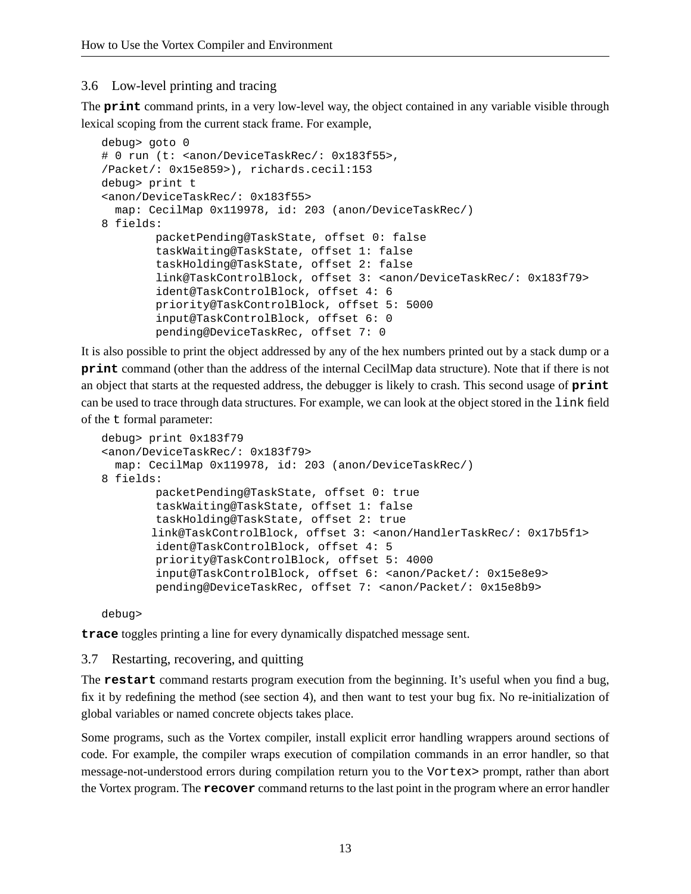#### 3.6 Low-level printing and tracing

The **print** command prints, in a very low-level way, the object contained in any variable visible through lexical scoping from the current stack frame. For example,

```
debug> goto 0
# 0 run (t: <anon/DeviceTaskRec/: 0x183f55>,
/Packet/: 0x15e859>), richards.cecil:153
debug> print t
<anon/DeviceTaskRec/: 0x183f55>
  map: CecilMap 0x119978, id: 203 (anon/DeviceTaskRec/)
8 fields:
         packetPending@TaskState, offset 0: false
         taskWaiting@TaskState, offset 1: false
         taskHolding@TaskState, offset 2: false
         link@TaskControlBlock, offset 3: <anon/DeviceTaskRec/: 0x183f79>
         ident@TaskControlBlock, offset 4: 6
         priority@TaskControlBlock, offset 5: 5000
         input@TaskControlBlock, offset 6: 0
         pending@DeviceTaskRec, offset 7: 0
```
It is also possible to print the object addressed by any of the hex numbers printed out by a stack dump or a **print** command (other than the address of the internal CecilMap data structure). Note that if there is not an object that starts at the requested address, the debugger is likely to crash. This second usage of **print** can be used to trace through data structures. For example, we can look at the object stored in the link field of the t formal parameter:

```
debug> print 0x183f79
<anon/DeviceTaskRec/: 0x183f79>
  map: CecilMap 0x119978, id: 203 (anon/DeviceTaskRec/)
8 fields:
         packetPending@TaskState, offset 0: true
         taskWaiting@TaskState, offset 1: false
         taskHolding@TaskState, offset 2: true
       link@TaskControlBlock, offset 3: <anon/HandlerTaskRec/: 0x17b5f1>
         ident@TaskControlBlock, offset 4: 5
         priority@TaskControlBlock, offset 5: 4000
         input@TaskControlBlock, offset 6: <anon/Packet/: 0x15e8e9>
         pending@DeviceTaskRec, offset 7: <anon/Packet/: 0x15e8b9>
```
debug>

**trace** toggles printing a line for every dynamically dispatched message sent.

#### 3.7 Restarting, recovering, and quitting

The **restart** command restarts program execution from the beginning. It's useful when you find a bug, fix it by redefining the method (see section 4), and then want to test your bug fix. No re-initialization of global variables or named concrete objects takes place.

Some programs, such as the Vortex compiler, install explicit error handling wrappers around sections of code. For example, the compiler wraps execution of compilation commands in an error handler, so that message-not-understood errors during compilation return you to the Vortex> prompt, rather than abort the Vortex program. The **recover** command returns to the last point in the program where an error handler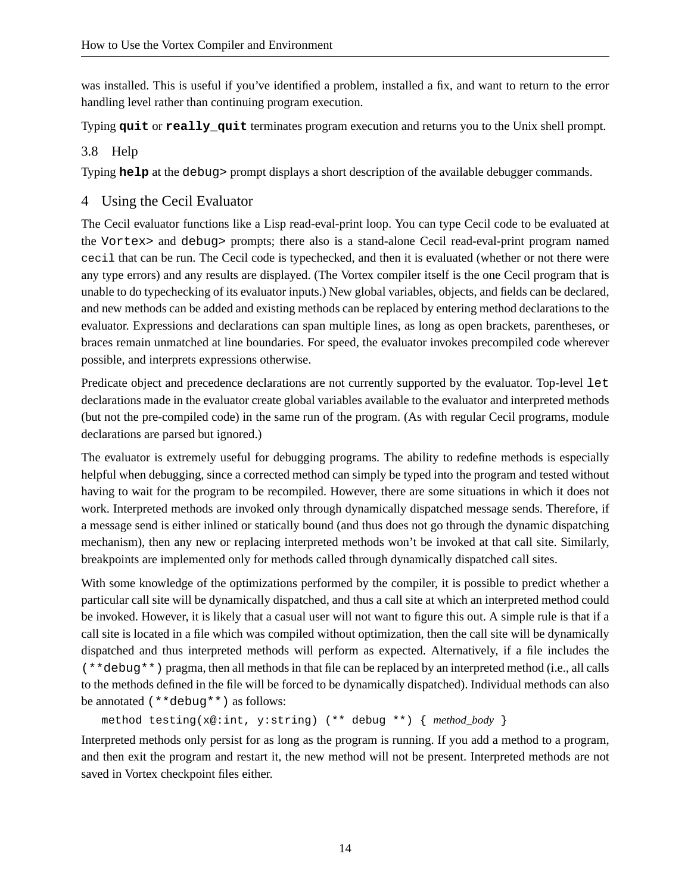was installed. This is useful if you've identified a problem, installed a fix, and want to return to the error handling level rather than continuing program execution.

Typing **quit** or **really\_quit** terminates program execution and returns you to the Unix shell prompt.

#### 3.8 Help

Typing **help** at the debug> prompt displays a short description of the available debugger commands.

## 4 Using the Cecil Evaluator

The Cecil evaluator functions like a Lisp read-eval-print loop. You can type Cecil code to be evaluated at the Vortex> and debug> prompts; there also is a stand-alone Cecil read-eval-print program named cecil that can be run. The Cecil code is typechecked, and then it is evaluated (whether or not there were any type errors) and any results are displayed. (The Vortex compiler itself is the one Cecil program that is unable to do typechecking of its evaluator inputs.) New global variables, objects, and fields can be declared, and new methods can be added and existing methods can be replaced by entering method declarations to the evaluator. Expressions and declarations can span multiple lines, as long as open brackets, parentheses, or braces remain unmatched at line boundaries. For speed, the evaluator invokes precompiled code wherever possible, and interprets expressions otherwise.

Predicate object and precedence declarations are not currently supported by the evaluator. Top-level let declarations made in the evaluator create global variables available to the evaluator and interpreted methods (but not the pre-compiled code) in the same run of the program. (As with regular Cecil programs, module declarations are parsed but ignored.)

The evaluator is extremely useful for debugging programs. The ability to redefine methods is especially helpful when debugging, since a corrected method can simply be typed into the program and tested without having to wait for the program to be recompiled. However, there are some situations in which it does not work. Interpreted methods are invoked only through dynamically dispatched message sends. Therefore, if a message send is either inlined or statically bound (and thus does not go through the dynamic dispatching mechanism), then any new or replacing interpreted methods won't be invoked at that call site. Similarly, breakpoints are implemented only for methods called through dynamically dispatched call sites.

With some knowledge of the optimizations performed by the compiler, it is possible to predict whether a particular call site will be dynamically dispatched, and thus a call site at which an interpreted method could be invoked. However, it is likely that a casual user will not want to figure this out. A simple rule is that if a call site is located in a file which was compiled without optimization, then the call site will be dynamically dispatched and thus interpreted methods will perform as expected. Alternatively, if a file includes the (\*\*debug\*\*) pragma, then all methods in that file can be replaced by an interpreted method (i.e., all calls to the methods defined in the file will be forced to be dynamically dispatched). Individual methods can also be annotated (\*\*debug\*\*) as follows:

```
method testing(x@:int, y:string) (** debug **) { method_body }
```
Interpreted methods only persist for as long as the program is running. If you add a method to a program, and then exit the program and restart it, the new method will not be present. Interpreted methods are not saved in Vortex checkpoint files either.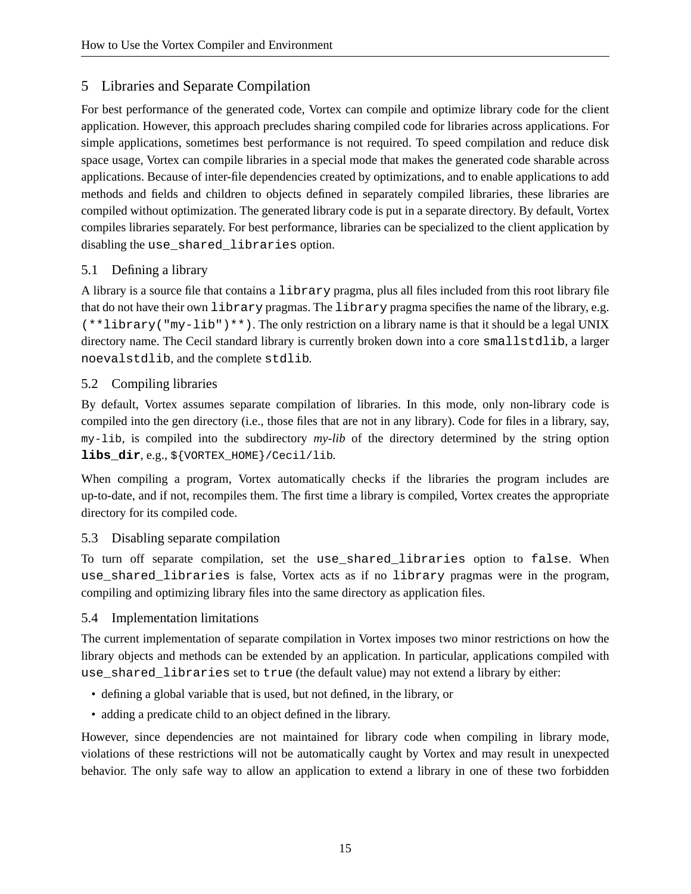# 5 Libraries and Separate Compilation

For best performance of the generated code, Vortex can compile and optimize library code for the client application. However, this approach precludes sharing compiled code for libraries across applications. For simple applications, sometimes best performance is not required. To speed compilation and reduce disk space usage, Vortex can compile libraries in a special mode that makes the generated code sharable across applications. Because of inter-file dependencies created by optimizations, and to enable applications to add methods and fields and children to objects defined in separately compiled libraries, these libraries are compiled without optimization. The generated library code is put in a separate directory. By default, Vortex compiles libraries separately. For best performance, libraries can be specialized to the client application by disabling the use\_shared\_libraries option.

# 5.1 Defining a library

A library is a source file that contains a library pragma, plus all files included from this root library file that do not have their own library pragmas. The library pragma specifies the name of the library, e.g.  $(**1$ ibrary("my-lib")\*\*). The only restriction on a library name is that it should be a legal UNIX directory name. The Cecil standard library is currently broken down into a core smallstdlib, a larger noevalstdlib, and the complete stdlib.

# 5.2 Compiling libraries

By default, Vortex assumes separate compilation of libraries. In this mode, only non-library code is compiled into the gen directory (i.e., those files that are not in any library). Code for files in a library, say, my-lib, is compiled into the subdirectory *my-lib* of the directory determined by the string option **libs\_dir**, e.g., \${VORTEX\_HOME}/Cecil/lib.

When compiling a program, Vortex automatically checks if the libraries the program includes are up-to-date, and if not, recompiles them. The first time a library is compiled, Vortex creates the appropriate directory for its compiled code.

# 5.3 Disabling separate compilation

To turn off separate compilation, set the use\_shared\_libraries option to false. When use\_shared\_libraries is false, Vortex acts as if no library pragmas were in the program, compiling and optimizing library files into the same directory as application files.

# 5.4 Implementation limitations

The current implementation of separate compilation in Vortex imposes two minor restrictions on how the library objects and methods can be extended by an application. In particular, applications compiled with use\_shared\_libraries set to true (the default value) may not extend a library by either:

- defining a global variable that is used, but not defined, in the library, or
- adding a predicate child to an object defined in the library.

However, since dependencies are not maintained for library code when compiling in library mode, violations of these restrictions will not be automatically caught by Vortex and may result in unexpected behavior. The only safe way to allow an application to extend a library in one of these two forbidden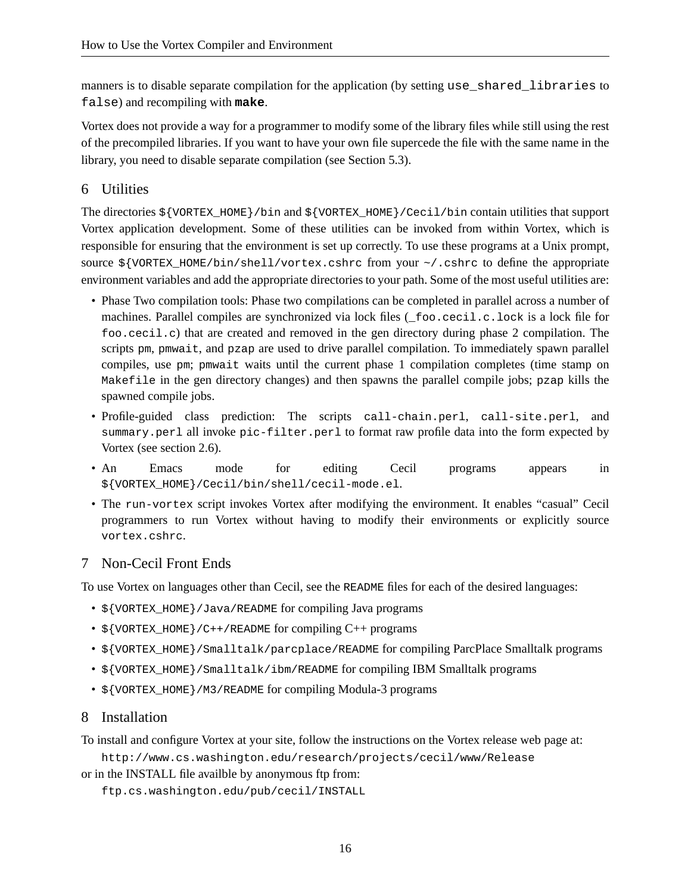manners is to disable separate compilation for the application (by setting use\_shared\_libraries to false) and recompiling with **make**.

Vortex does not provide a way for a programmer to modify some of the library files while still using the rest of the precompiled libraries. If you want to have your own file supercede the file with the same name in the library, you need to disable separate compilation (see Section 5.3).

## 6 Utilities

The directories \${VORTEX\_HOME}/bin and \${VORTEX\_HOME}/Cecil/bin contain utilities that support Vortex application development. Some of these utilities can be invoked from within Vortex, which is responsible for ensuring that the environment is set up correctly. To use these programs at a Unix prompt, source  $\frac{1}{2}$  {VORTEX\_HOME/bin/shell/vortex.cshrc from your ~/.cshrc to define the appropriate environment variables and add the appropriate directories to your path. Some of the most useful utilities are:

- Phase Two compilation tools: Phase two compilations can be completed in parallel across a number of machines. Parallel compiles are synchronized via lock files (\_foo.cecil.c.lock is a lock file for foo.cecil.c) that are created and removed in the gen directory during phase 2 compilation. The scripts pm, pmwait, and pzap are used to drive parallel compilation. To immediately spawn parallel compiles, use pm; pmwait waits until the current phase 1 compilation completes (time stamp on Makefile in the gen directory changes) and then spawns the parallel compile jobs; pzap kills the spawned compile jobs.
- Profile-guided class prediction: The scripts call-chain.perl, call-site.perl, and summary.perl all invoke pic-filter.perl to format raw profile data into the form expected by Vortex (see section 2.6).
- An Emacs mode for editing Cecil programs appears in \${VORTEX\_HOME}/Cecil/bin/shell/cecil-mode.el.
- The run-vortex script invokes Vortex after modifying the environment. It enables "casual" Cecil programmers to run Vortex without having to modify their environments or explicitly source vortex.cshrc.

# 7 Non-Cecil Front Ends

To use Vortex on languages other than Cecil, see the README files for each of the desired languages:

- \${VORTEX\_HOME}/Java/README for compiling Java programs
- $\frac{1}{2}$  {VORTEX HOME}/C++/README for compiling C++ programs
- \${VORTEX\_HOME}/Smalltalk/parcplace/README for compiling ParcPlace Smalltalk programs
- $$$ {VORTEX\_HOME}/Smalltalk/ibm/README for compiling IBM Smalltalk programs
- \${VORTEX\_HOME}/M3/README for compiling Modula-3 programs

#### 8 Installation

To install and configure Vortex at your site, follow the instructions on the Vortex release web page at:

http://www.cs.washington.edu/research/projects/cecil/www/Release

or in the INSTALL file availble by anonymous ftp from:

ftp.cs.washington.edu/pub/cecil/INSTALL